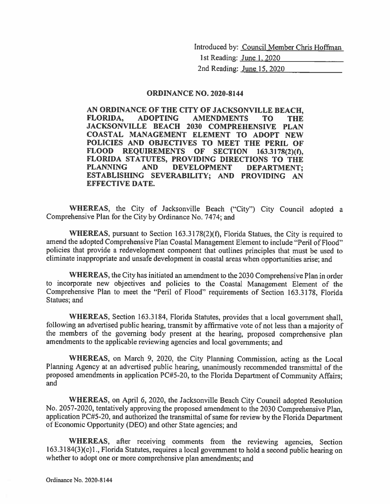Introduced by: Council Member Chris Hoffman

1st Reading: June 1, 2020 2nd Reading: June 15, 2020

#### **ORDINANCE NO. 2020-8144**

AN ORDINANCE OF THE CITY OF JACKSONVILLE BEACH, **ADOPTING** FLORIDA, **AMENDMENTS TO THE** JACKSONVILLE BEACH 2030 COMPREHENSIVE PLAN COASTAL MANAGEMENT ELEMENT TO ADOPT NEW POLICIES AND OBJECTIVES TO MEET THE PERIL OF FLOOD REQUIREMENTS OF SECTION 163.3178(2)(f), FLORIDA STATUTES, PROVIDING DIRECTIONS TO THE **PLANNING DEVELOPMENT AND DEPARTMENT:** ESTABLISHING SEVERABILITY; AND PROVIDING AN **EFFECTIVE DATE.** 

WHEREAS, the City of Jacksonville Beach ("City") City Council adopted a Comprehensive Plan for the City by Ordinance No. 7474; and

**WHEREAS**, pursuant to Section  $163.3178(2)(f)$ , Florida Statues, the City is required to amend the adopted Comprehensive Plan Coastal Management Element to include "Peril of Flood" policies that provide a redevelopment component that outlines principles that must be used to eliminate inappropriate and unsafe development in coastal areas when opportunities arise; and

**WHEREAS, the City has initiated an amendment to the 2030 Comprehensive Plan in order** to incorporate new objectives and policies to the Coastal Management Element of the Comprehensive Plan to meet the "Peril of Flood" requirements of Section 163.3178, Florida Statues; and

WHEREAS, Section 163.3184, Florida Statutes, provides that a local government shall, following an advertised public hearing, transmit by affirmative vote of not less than a majority of the members of the governing body present at the hearing, proposed comprehensive plan amendments to the applicable reviewing agencies and local governments; and

WHEREAS, on March 9, 2020, the City Planning Commission, acting as the Local Planning Agency at an advertised public hearing, unanimously recommended transmittal of the proposed amendments in application PC#5-20, to the Florida Department of Community Affairs; and

WHEREAS, on April 6, 2020, the Jacksonville Beach City Council adopted Resolution No. 2057-2020, tentatively approving the proposed amendment to the 2030 Comprehensive Plan, application PC#5-20, and authorized the transmittal of same for review by the Florida Department of Economic Opportunity (DEO) and other State agencies; and

WHEREAS, after receiving comments from the reviewing agencies, Section 163.3184(3)(c)1., Florida Statutes, requires a local government to hold a second public hearing on whether to adopt one or more comprehensive plan amendments; and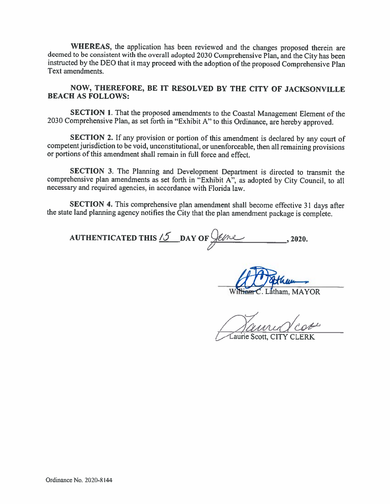WHEREAS, the application has been reviewed and the changes proposed therein are deemed to be consistent with the overall adopted 2030 Comprehensive Plan, and the City has been instructed by the DEO that it may proceed with the adoption of the proposed Comprehensive Plan Text amendments.

NOW, THEREFORE, BE IT RESOLVED BY THE CITY OF JACKSONVILLE **BEACH AS FOLLOWS:** 

**SECTION 1.** That the proposed amendments to the Coastal Management Element of the 2030 Comprehensive Plan, as set forth in "Exhibit A" to this Ordinance, are hereby approved.

SECTION 2. If any provision or portion of this amendment is declared by any court of competent jurisdiction to be void, unconstitutional, or unenforceable, then all remaining provisions or portions of this amendment shall remain in full force and effect.

SECTION 3. The Planning and Development Department is directed to transmit the comprehensive plan amendments as set forth in "Exhibit A", as adopted by City Council, to all necessary and required agencies, in accordance with Florida law.

SECTION 4. This comprehensive plan amendment shall become effective 31 days after the state land planning agency notifies the City that the plan amendment package is complete.

AUTHENTICATED THIS  $\frac{15}{2}$  DAY OF  $\frac{6}{2}$ , 2020.

atham, MAYOR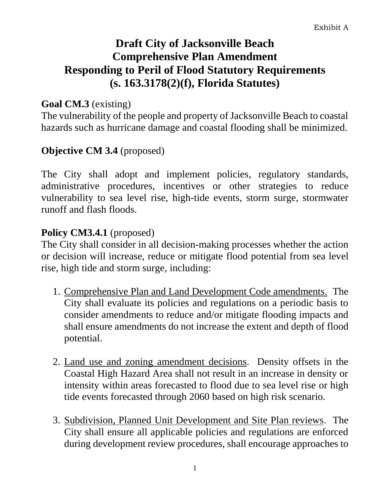# **Draft City of Jacksonville Beach Comprehensive Plan Amendment Responding to Peril of Flood Statutory Requirements (s. 163.3178(2)(f), Florida Statutes)**

#### **Goal CM.3** (existing)

The vulnerability of the people and property of Jacksonville Beach to coastal hazards such as hurricane damage and coastal flooding shall be minimized.

#### **Objective CM 3.4** (proposed)

The City shall adopt and implement policies, regulatory standards, administrative procedures, incentives or other strategies to reduce vulnerability to sea level rise, high-tide events, storm surge, stormwater runoff and flash floods.

#### **Policy CM3.4.1** (proposed)

The City shall consider in all decision-making processes whether the action or decision will increase, reduce or mitigate flood potential from sea level rise, high tide and storm surge, including:

- 1. Comprehensive Plan and Land Development Code amendments. The City shall evaluate its policies and regulations on a periodic basis to consider amendments to reduce and/or mitigate flooding impacts and shall ensure amendments do not increase the extent and depth of flood potential.
- 2. Land use and zoning amendment decisions. Density offsets in the Coastal High Hazard Area shall not result in an increase in density or intensity within areas forecasted to flood due to sea level rise or high tide events forecasted through 2060 based on high risk scenario.
- 3. Subdivision, Planned Unit Development and Site Plan reviews. The City shall ensure all applicable policies and regulations are enforced during development review procedures, shall encourage approaches to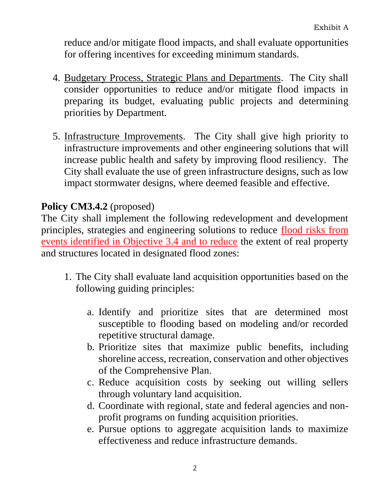reduce and/or mitigate flood impacts, and shall evaluate opportunities for offering incentives for exceeding minimum standards.

- 4. Budgetary Process, Strategic Plans and Departments. The City shall consider opportunities to reduce and/or mitigate flood impacts in preparing its budget, evaluating public projects and determining priorities by Department.
- 5. Infrastructure Improvements. The City shall give high priority to infrastructure improvements and other engineering solutions that will increase public health and safety by improving flood resiliency. The City shall evaluate the use of green infrastructure designs, such as low impact stormwater designs, where deemed feasible and effective.

# **Policy CM3.4.2** (proposed)

The City shall implement the following redevelopment and development principles, strategies and engineering solutions to reduce flood risks from events identified in Objective 3.4 and to reduce the extent of real property and structures located in designated flood zones:

- 1. The City shall evaluate land acquisition opportunities based on the following guiding principles:
	- a. Identify and prioritize sites that are determined most susceptible to flooding based on modeling and/or recorded repetitive structural damage.
	- b. Prioritize sites that maximize public benefits, including shoreline access, recreation, conservation and other objectives of the Comprehensive Plan.
	- c. Reduce acquisition costs by seeking out willing sellers through voluntary land acquisition.
	- d. Coordinate with regional, state and federal agencies and nonprofit programs on funding acquisition priorities.
	- e. Pursue options to aggregate acquisition lands to maximize effectiveness and reduce infrastructure demands.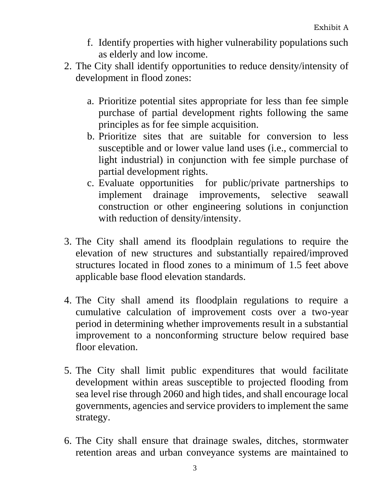- f. Identify properties with higher vulnerability populations such as elderly and low income.
- 2. The City shall identify opportunities to reduce density/intensity of development in flood zones:
	- a. Prioritize potential sites appropriate for less than fee simple purchase of partial development rights following the same principles as for fee simple acquisition.
	- b. Prioritize sites that are suitable for conversion to less susceptible and or lower value land uses (i.e., commercial to light industrial) in conjunction with fee simple purchase of partial development rights.
	- c. Evaluate opportunities for public/private partnerships to implement drainage improvements, selective seawall construction or other engineering solutions in conjunction with reduction of density/intensity.
- 3. The City shall amend its floodplain regulations to require the elevation of new structures and substantially repaired/improved structures located in flood zones to a minimum of 1.5 feet above applicable base flood elevation standards.
- 4. The City shall amend its floodplain regulations to require a cumulative calculation of improvement costs over a two-year period in determining whether improvements result in a substantial improvement to a nonconforming structure below required base floor elevation.
- 5. The City shall limit public expenditures that would facilitate development within areas susceptible to projected flooding from sea level rise through 2060 and high tides, and shall encourage local governments, agencies and service providers to implement the same strategy.
- 6. The City shall ensure that drainage swales, ditches, stormwater retention areas and urban conveyance systems are maintained to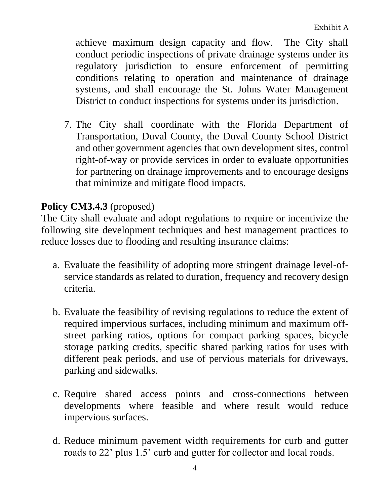achieve maximum design capacity and flow. The City shall conduct periodic inspections of private drainage systems under its regulatory jurisdiction to ensure enforcement of permitting conditions relating to operation and maintenance of drainage systems, and shall encourage the St. Johns Water Management District to conduct inspections for systems under its jurisdiction.

7. The City shall coordinate with the Florida Department of Transportation, Duval County, the Duval County School District and other government agencies that own development sites, control right-of-way or provide services in order to evaluate opportunities for partnering on drainage improvements and to encourage designs that minimize and mitigate flood impacts.

### **Policy CM3.4.3** (proposed)

The City shall evaluate and adopt regulations to require or incentivize the following site development techniques and best management practices to reduce losses due to flooding and resulting insurance claims:

- a. Evaluate the feasibility of adopting more stringent drainage level-ofservice standards as related to duration, frequency and recovery design criteria.
- b. Evaluate the feasibility of revising regulations to reduce the extent of required impervious surfaces, including minimum and maximum offstreet parking ratios, options for compact parking spaces, bicycle storage parking credits, specific shared parking ratios for uses with different peak periods, and use of pervious materials for driveways, parking and sidewalks.
- c. Require shared access points and cross-connections between developments where feasible and where result would reduce impervious surfaces.
- d. Reduce minimum pavement width requirements for curb and gutter roads to 22' plus 1.5' curb and gutter for collector and local roads.